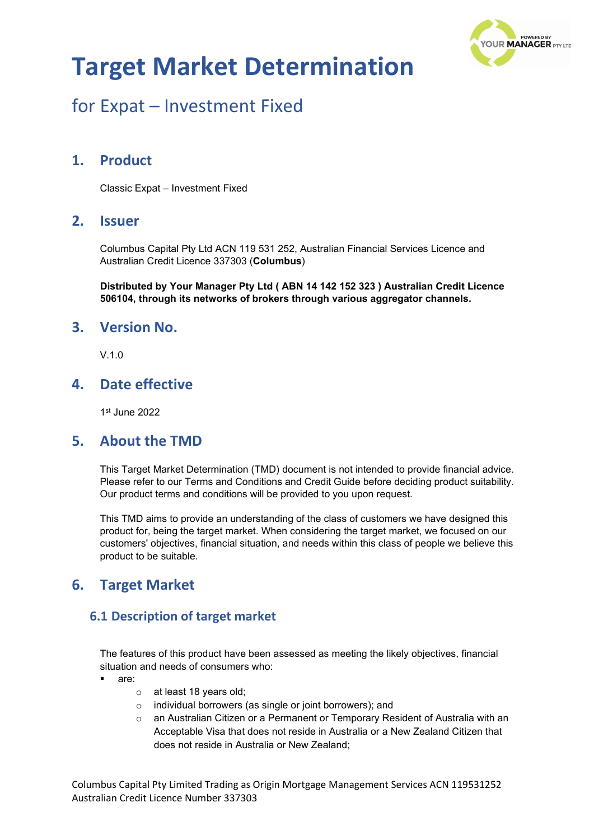

## for Expat – Investment Fixed

### **1. Product**

Classic Expat – Investment Fixed

### **2. Issuer**

Columbus Capital Pty Ltd ACN 119 531 252, Australian Financial Services Licence and Australian Credit Licence 337303 (**Columbus**)

**Distributed by Your Manager Pty Ltd ( ABN 14 142 152 323 ) Australian Credit Licence 506104, through its networks of brokers through various aggregator channels.**

#### **3. Version No.**

V.1.0

### **4. Date effective**

1st June 2022

#### **5. About the TMD**

This Target Market Determination (TMD) document is not intended to provide financial advice. Please refer to our Terms and Conditions and Credit Guide before deciding product suitability. Our product terms and conditions will be provided to you upon request.

This TMD aims to provide an understanding of the class of customers we have designed this product for, being the target market. When considering the target market, we focused on our customers' objectives, financial situation, and needs within this class of people we believe this product to be suitable.

### **6. Target Market**

#### **6.1 Description of target market**

The features of this product have been assessed as meeting the likely objectives, financial situation and needs of consumers who:

- are:
	- o at least 18 years old;
	- o individual borrowers (as single or joint borrowers); and
	- $\circ$  an Australian Citizen or a Permanent or Temporary Resident of Australia with an Acceptable Visa that does not reside in Australia or a New Zealand Citizen that does not reside in Australia or New Zealand;

Columbus Capital Pty Limited Trading as Origin Mortgage Management Services ACN 119531252 Australian Credit Licence Number 337303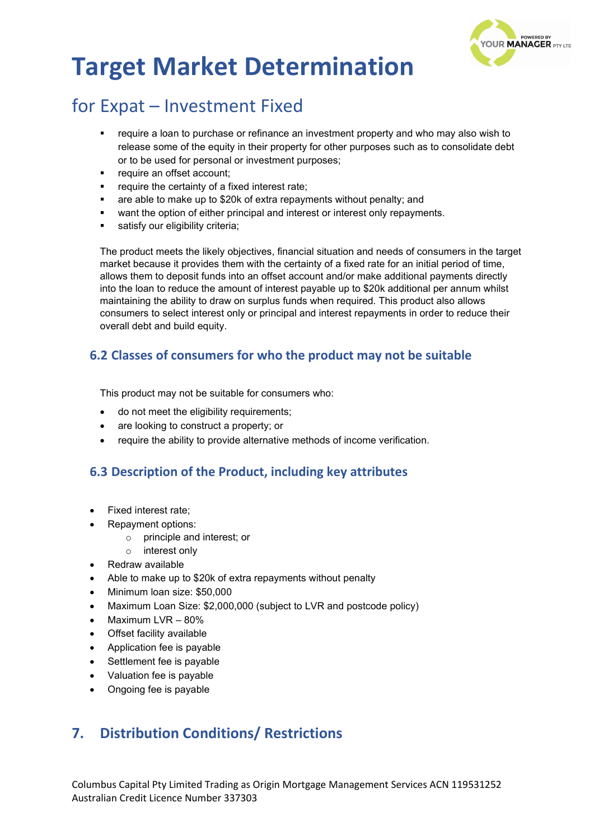

## for Expat – Investment Fixed

- require a loan to purchase or refinance an investment property and who may also wish to release some of the equity in their property for other purposes such as to consolidate debt or to be used for personal or investment purposes;
- require an offset account;
- require the certainty of a fixed interest rate;
- are able to make up to \$20k of extra repayments without penalty; and
- want the option of either principal and interest or interest only repayments.
- satisfy our eligibility criteria;

The product meets the likely objectives, financial situation and needs of consumers in the target market because it provides them with the certainty of a fixed rate for an initial period of time, allows them to deposit funds into an offset account and/or make additional payments directly into the loan to reduce the amount of interest payable up to \$20k additional per annum whilst maintaining the ability to draw on surplus funds when required. This product also allows consumers to select interest only or principal and interest repayments in order to reduce their overall debt and build equity.

### **6.2 Classes of consumers for who the product may not be suitable**

This product may not be suitable for consumers who:

- do not meet the eligibility requirements;
- are looking to construct a property; or
- require the ability to provide alternative methods of income verification.

### **6.3 Description of the Product, including key attributes**

- Fixed interest rate;
- Repayment options:
	- o principle and interest; or
	- o interest only
- Redraw available
- Able to make up to \$20k of extra repayments without penalty
- Minimum loan size: \$50,000
- Maximum Loan Size: \$2,000,000 (subject to LVR and postcode policy)
- Maximum LVR 80%
- Offset facility available
- Application fee is payable
- Settlement fee is payable
- Valuation fee is payable
- Ongoing fee is payable

### **7. Distribution Conditions/ Restrictions**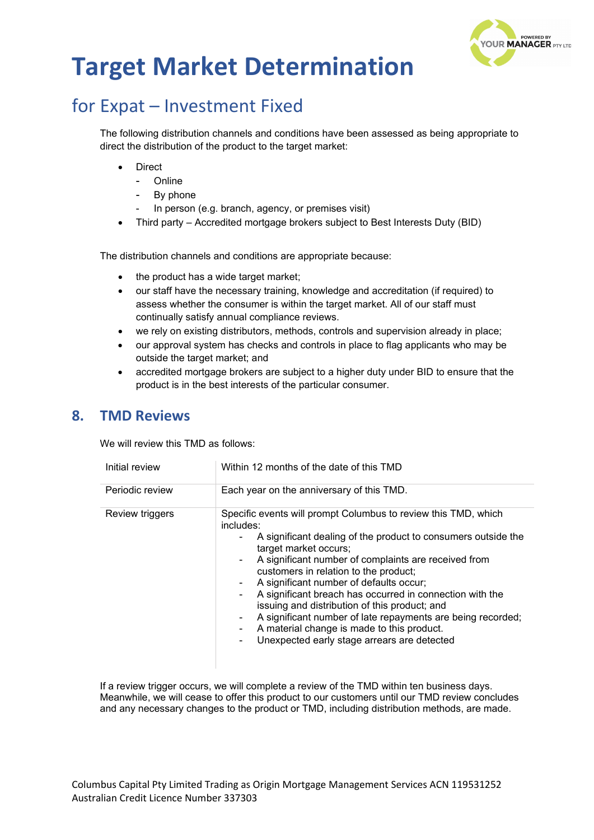

## for Expat – Investment Fixed

The following distribution channels and conditions have been assessed as being appropriate to direct the distribution of the product to the target market:

- **Direct** 
	- Online
	- By phone
	- In person (e.g. branch, agency, or premises visit)
- Third party Accredited mortgage brokers subject to Best Interests Duty (BID)

The distribution channels and conditions are appropriate because:

- the product has a wide target market;
- our staff have the necessary training, knowledge and accreditation (if required) to assess whether the consumer is within the target market. All of our staff must continually satisfy annual compliance reviews.
- we rely on existing distributors, methods, controls and supervision already in place;
- our approval system has checks and controls in place to flag applicants who may be outside the target market; and
- accredited mortgage brokers are subject to a higher duty under BID to ensure that the product is in the best interests of the particular consumer.

### **8. TMD Reviews**

We will review this TMD as follows:

| Initial review  | Within 12 months of the date of this TMD                                                                                                                                                                                                                                                                                                                                                                                                                                                                                                                                                                    |  |
|-----------------|-------------------------------------------------------------------------------------------------------------------------------------------------------------------------------------------------------------------------------------------------------------------------------------------------------------------------------------------------------------------------------------------------------------------------------------------------------------------------------------------------------------------------------------------------------------------------------------------------------------|--|
| Periodic review | Each year on the anniversary of this TMD.                                                                                                                                                                                                                                                                                                                                                                                                                                                                                                                                                                   |  |
| Review triggers | Specific events will prompt Columbus to review this TMD, which<br>includes:<br>A significant dealing of the product to consumers outside the<br>target market occurs;<br>A significant number of complaints are received from<br>customers in relation to the product;<br>A significant number of defaults occur;<br>۰.<br>A significant breach has occurred in connection with the<br>۰<br>issuing and distribution of this product; and<br>A significant number of late repayments are being recorded;<br>۰.<br>A material change is made to this product.<br>Unexpected early stage arrears are detected |  |

If a review trigger occurs, we will complete a review of the TMD within ten business days. Meanwhile, we will cease to offer this product to our customers until our TMD review concludes and any necessary changes to the product or TMD, including distribution methods, are made.